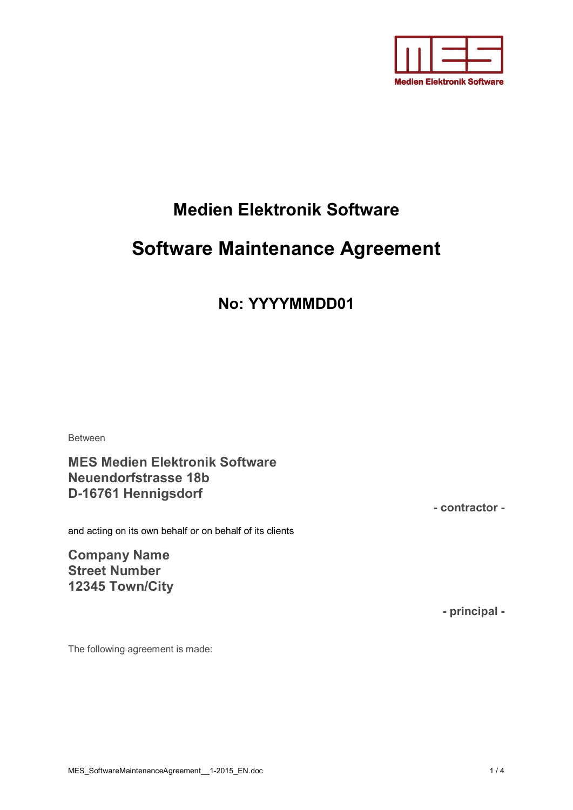

# **Medien Elektronik Software**

# **Software Maintenance Agreement**

# **No: YYYYMMDD01**

Between

**MES Medien Elektronik Software Neuendorfstrasse 18b D-16761 Hennigsdorf**

and acting on its own behalf or on behalf of its clients

**Company Name Street Number 12345 Town/City** **- contractor -**

**- principal -**

The following agreement is made: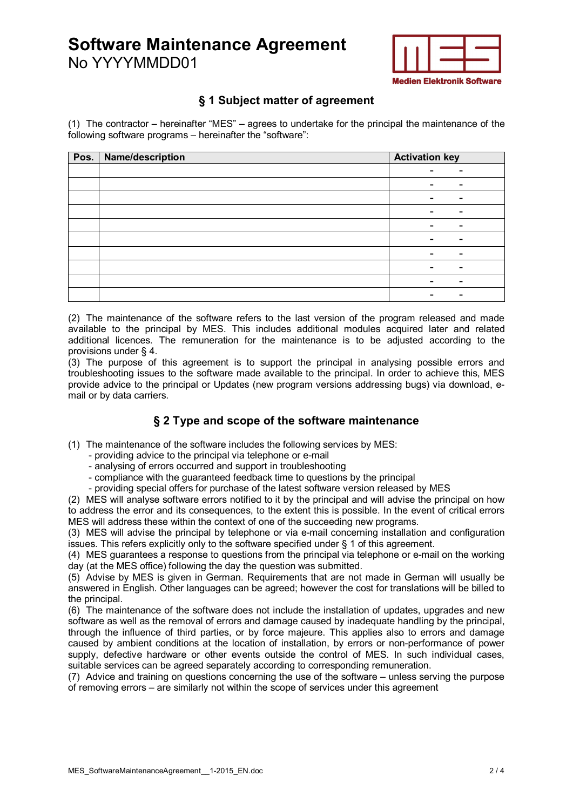# **Software Maintenance Agreement** No YYYYMMDD01



### **§ 1 Subject matter of agreement**

(1) The contractor – hereinafter "MES" – agrees to undertake for the principal the maintenance of the following software programs – hereinafter the "software":

| Pos.   Name/description | <b>Activation key</b> |  |
|-------------------------|-----------------------|--|
|                         |                       |  |
|                         |                       |  |
|                         |                       |  |
|                         |                       |  |
|                         |                       |  |
|                         |                       |  |
|                         |                       |  |
|                         |                       |  |
|                         |                       |  |
|                         |                       |  |

(2) The maintenance of the software refers to the last version of the program released and made available to the principal by MES. This includes additional modules acquired later and related additional licences. The remuneration for the maintenance is to be adjusted according to the provisions under § 4.

(3) The purpose of this agreement is to support the principal in analysing possible errors and troubleshooting issues to the software made available to the principal. In order to achieve this, MES provide advice to the principal or Updates (new program versions addressing bugs) via download, email or by data carriers.

### **§ 2 Type and scope of the software maintenance**

(1) The maintenance of the software includes the following services by MES:

- providing advice to the principal via telephone or e-mail
- analysing of errors occurred and support in troubleshooting
- compliance with the guaranteed feedback time to questions by the principal

- providing special offers for purchase of the latest software version released by MES

(2) MES will analyse software errors notified to it by the principal and will advise the principal on how to address the error and its consequences, to the extent this is possible. In the event of critical errors MES will address these within the context of one of the succeeding new programs.

(3) MES will advise the principal by telephone or via e-mail concerning installation and configuration issues. This refers explicitly only to the software specified under § 1 of this agreement.

(4) MES guarantees a response to questions from the principal via telephone or e-mail on the working day (at the MES office) following the day the question was submitted.

(5) Advise by MES is given in German. Requirements that are not made in German will usually be answered in English. Other languages can be agreed; however the cost for translations will be billed to the principal.

(6) The maintenance of the software does not include the installation of updates, upgrades and new software as well as the removal of errors and damage caused by inadequate handling by the principal, through the influence of third parties, or by force majeure. This applies also to errors and damage caused by ambient conditions at the location of installation, by errors or non-performance of power supply, defective hardware or other events outside the control of MES. In such individual cases, suitable services can be agreed separately according to corresponding remuneration.

(7) Advice and training on questions concerning the use of the software – unless serving the purpose of removing errors – are similarly not within the scope of services under this agreement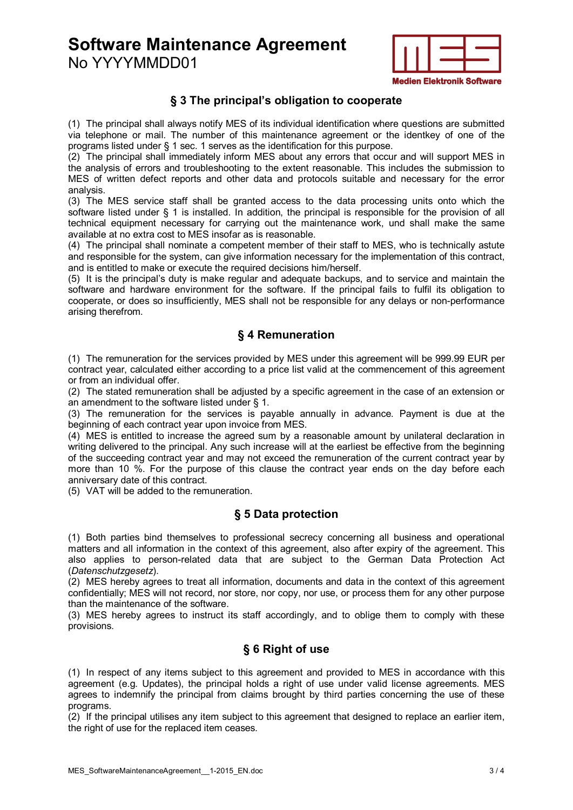**Software Maintenance Agreement** No YYYYMMDD01



#### **§ 3 The principal's obligation to cooperate**

(1) The principal shall always notify MES of its individual identification where questions are submitted via telephone or mail. The number of this maintenance agreement or the identkey of one of the programs listed under § 1 sec. 1 serves as the identification for this purpose.

(2) The principal shall immediately inform MES about any errors that occur and will support MES in the analysis of errors and troubleshooting to the extent reasonable. This includes the submission to MES of written defect reports and other data and protocols suitable and necessary for the error analysis.

(3) The MES service staff shall be granted access to the data processing units onto which the software listed under § 1 is installed. In addition, the principal is responsible for the provision of all technical equipment necessary for carrying out the maintenance work, und shall make the same available at no extra cost to MES insofar as is reasonable.

(4) The principal shall nominate a competent member of their staff to MES, who is technically astute and responsible for the system, can give information necessary for the implementation of this contract, and is entitled to make or execute the required decisions him/herself.

(5) It is the principal's duty is make regular and adequate backups, and to service and maintain the software and hardware environment for the software. If the principal fails to fulfil its obligation to cooperate, or does so insufficiently, MES shall not be responsible for any delays or non-performance arising therefrom.

#### **§ 4 Remuneration**

(1) The remuneration for the services provided by MES under this agreement will be 999.99 EUR per contract year, calculated either according to a price list valid at the commencement of this agreement or from an individual offer.

(2) The stated remuneration shall be adjusted by a specific agreement in the case of an extension or an amendment to the software listed under § 1.

(3) The remuneration for the services is payable annually in advance. Payment is due at the beginning of each contract year upon invoice from MES.

(4) MES is entitled to increase the agreed sum by a reasonable amount by unilateral declaration in writing delivered to the principal. Any such increase will at the earliest be effective from the beginning of the succeeding contract year and may not exceed the remuneration of the current contract year by more than 10 %. For the purpose of this clause the contract year ends on the day before each anniversary date of this contract.

(5) VAT will be added to the remuneration.

### **§ 5 Data protection**

(1) Both parties bind themselves to professional secrecy concerning all business and operational matters and all information in the context of this agreement, also after expiry of the agreement. This also applies to person-related data that are subject to the German Data Protection Act (*Datenschutzgesetz*).

(2) MES hereby agrees to treat all information, documents and data in the context of this agreement confidentially; MES will not record, nor store, nor copy, nor use, or process them for any other purpose than the maintenance of the software.

(3) MES hereby agrees to instruct its staff accordingly, and to oblige them to comply with these provisions.

## **§ 6 Right of use**

(1) In respect of any items subject to this agreement and provided to MES in accordance with this agreement (e.g. Updates), the principal holds a right of use under valid license agreements. MES agrees to indemnify the principal from claims brought by third parties concerning the use of these programs.

(2) If the principal utilises any item subject to this agreement that designed to replace an earlier item, the right of use for the replaced item ceases.